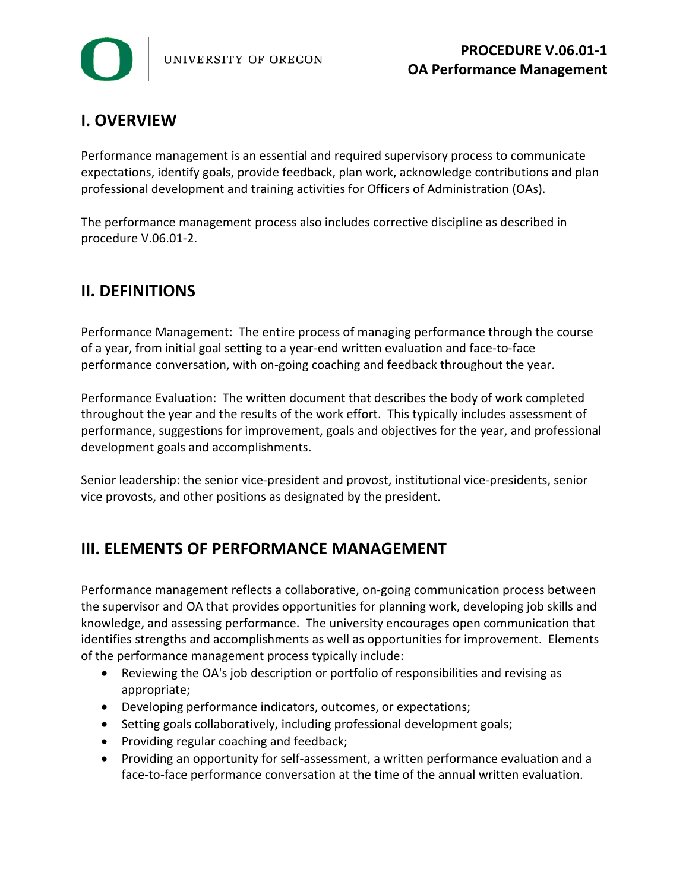

# **I. OVERVIEW**

Performance management is an essential and required supervisory process to communicate expectations, identify goals, provide feedback, plan work, acknowledge contributions and plan professional development and training activities for Officers of Administration (OAs).

The performance management process also includes corrective discipline as described in procedure V.06.01-2.

## **II. DEFINITIONS**

Performance Management: The entire process of managing performance through the course of a year, from initial goal setting to a year-end written evaluation and face-to-face performance conversation, with on-going coaching and feedback throughout the year.

Performance Evaluation: The written document that describes the body of work completed throughout the year and the results of the work effort. This typically includes assessment of performance, suggestions for improvement, goals and objectives for the year, and professional development goals and accomplishments.

Senior leadership: the senior vice-president and provost, institutional vice-presidents, senior vice provosts, and other positions as designated by the president.

## **III. ELEMENTS OF PERFORMANCE MANAGEMENT**

Performance management reflects a collaborative, on-going communication process between the supervisor and OA that provides opportunities for planning work, developing job skills and knowledge, and assessing performance. The university encourages open communication that identifies strengths and accomplishments as well as opportunities for improvement. Elements of the performance management process typically include:

- Reviewing the OA's job description or portfolio of responsibilities and revising as appropriate;
- Developing performance indicators, outcomes, or expectations;
- Setting goals collaboratively, including professional development goals;
- Providing regular coaching and feedback;
- Providing an opportunity for self-assessment, a written performance evaluation and a face-to-face performance conversation at the time of the annual written evaluation.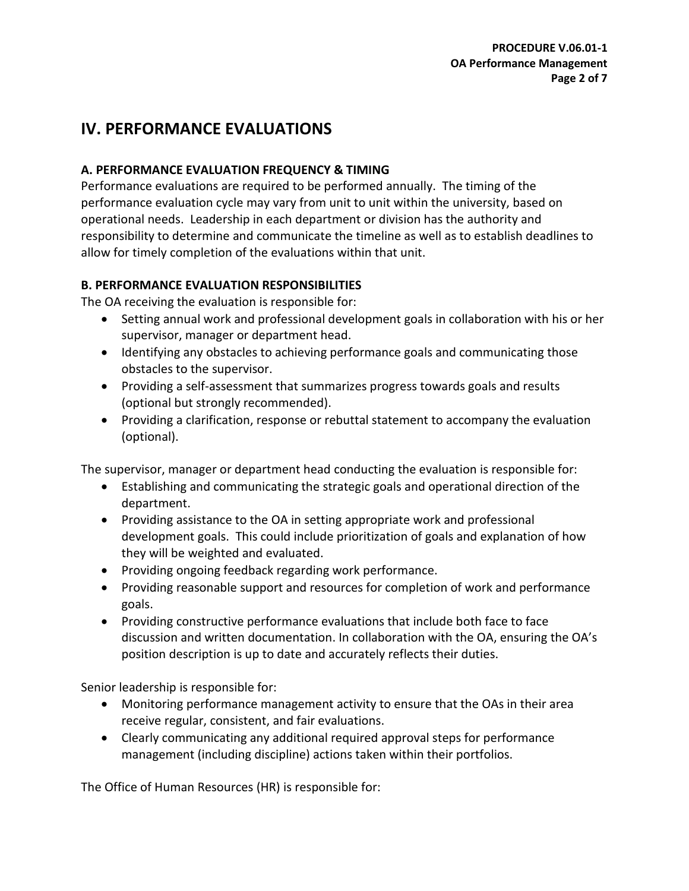## **IV. PERFORMANCE EVALUATIONS**

### **A. PERFORMANCE EVALUATION FREQUENCY & TIMING**

Performance evaluations are required to be performed annually. The timing of the performance evaluation cycle may vary from unit to unit within the university, based on operational needs. Leadership in each department or division has the authority and responsibility to determine and communicate the timeline as well as to establish deadlines to allow for timely completion of the evaluations within that unit.

### **B. PERFORMANCE EVALUATION RESPONSIBILITIES**

The OA receiving the evaluation is responsible for:

- Setting annual work and professional development goals in collaboration with his or her supervisor, manager or department head.
- Identifying any obstacles to achieving performance goals and communicating those obstacles to the supervisor.
- Providing a self-assessment that summarizes progress towards goals and results (optional but strongly recommended).
- Providing a clarification, response or rebuttal statement to accompany the evaluation (optional).

The supervisor, manager or department head conducting the evaluation is responsible for:

- Establishing and communicating the strategic goals and operational direction of the department.
- Providing assistance to the OA in setting appropriate work and professional development goals. This could include prioritization of goals and explanation of how they will be weighted and evaluated.
- Providing ongoing feedback regarding work performance.
- Providing reasonable support and resources for completion of work and performance goals.
- Providing constructive performance evaluations that include both face to face discussion and written documentation. In collaboration with the OA, ensuring the OA's position description is up to date and accurately reflects their duties.

Senior leadership is responsible for:

- Monitoring performance management activity to ensure that the OAs in their area receive regular, consistent, and fair evaluations.
- Clearly communicating any additional required approval steps for performance management (including discipline) actions taken within their portfolios.

The Office of Human Resources (HR) is responsible for: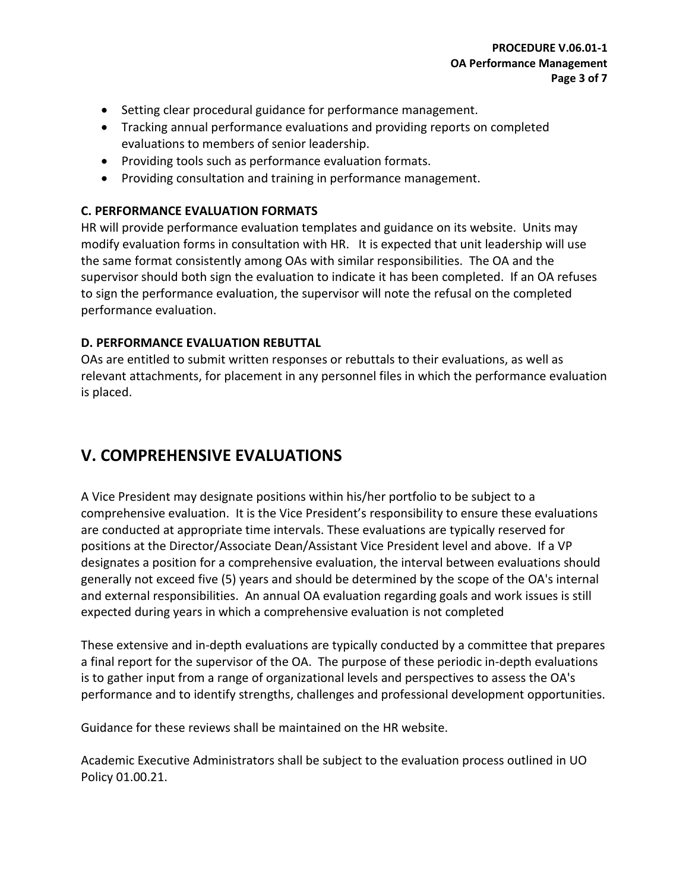- Setting clear procedural guidance for performance management.
- Tracking annual performance evaluations and providing reports on completed evaluations to members of senior leadership.
- Providing tools such as performance evaluation formats.
- Providing consultation and training in performance management.

### **C. PERFORMANCE EVALUATION FORMATS**

HR will provide performance evaluation templates and guidance on its website. Units may modify evaluation forms in consultation with HR. It is expected that unit leadership will use the same format consistently among OAs with similar responsibilities. The OA and the supervisor should both sign the evaluation to indicate it has been completed. If an OA refuses to sign the performance evaluation, the supervisor will note the refusal on the completed performance evaluation.

### **D. PERFORMANCE EVALUATION REBUTTAL**

OAs are entitled to submit written responses or rebuttals to their evaluations, as well as relevant attachments, for placement in any personnel files in which the performance evaluation is placed.

## **V. COMPREHENSIVE EVALUATIONS**

A Vice President may designate positions within his/her portfolio to be subject to a comprehensive evaluation. It is the Vice President's responsibility to ensure these evaluations are conducted at appropriate time intervals. These evaluations are typically reserved for positions at the Director/Associate Dean/Assistant Vice President level and above. If a VP designates a position for a comprehensive evaluation, the interval between evaluations should generally not exceed five (5) years and should be determined by the scope of the OA's internal and external responsibilities. An annual OA evaluation regarding goals and work issues is still expected during years in which a comprehensive evaluation is not completed

These extensive and in-depth evaluations are typically conducted by a committee that prepares a final report for the supervisor of the OA. The purpose of these periodic in-depth evaluations is to gather input from a range of organizational levels and perspectives to assess the OA's performance and to identify strengths, challenges and professional development opportunities.

Guidance for these reviews shall be maintained on the HR website.

Academic Executive Administrators shall be subject to the evaluation process outlined in UO Policy 01.00.21.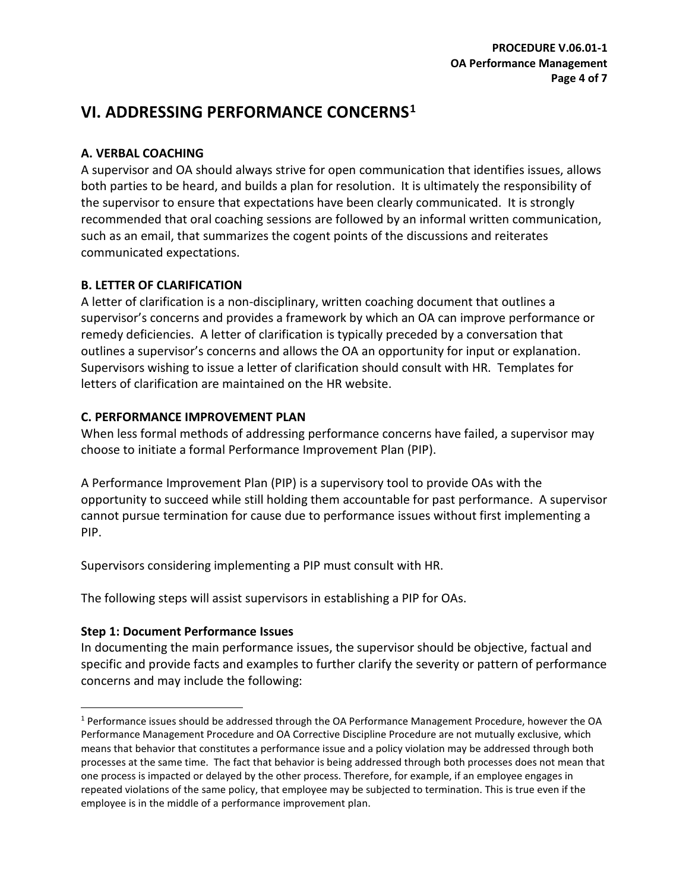## **VI. ADDRESSING PERFORMANCE CONCERNS[1](#page-3-0)**

### **A. VERBAL COACHING**

A supervisor and OA should always strive for open communication that identifies issues, allows both parties to be heard, and builds a plan for resolution. It is ultimately the responsibility of the supervisor to ensure that expectations have been clearly communicated. It is strongly recommended that oral coaching sessions are followed by an informal written communication, such as an email, that summarizes the cogent points of the discussions and reiterates communicated expectations.

### **B. LETTER OF CLARIFICATION**

A letter of clarification is a non-disciplinary, written coaching document that outlines a supervisor's concerns and provides a framework by which an OA can improve performance or remedy deficiencies. A letter of clarification is typically preceded by a conversation that outlines a supervisor's concerns and allows the OA an opportunity for input or explanation. Supervisors wishing to issue a letter of clarification should consult with HR. Templates for letters of clarification are maintained on the HR website.

### **C. PERFORMANCE IMPROVEMENT PLAN**

When less formal methods of addressing performance concerns have failed, a supervisor may choose to initiate a formal Performance Improvement Plan (PIP).

A Performance Improvement Plan (PIP) is a supervisory tool to provide OAs with the opportunity to succeed while still holding them accountable for past performance. A supervisor cannot pursue termination for cause due to performance issues without first implementing a PIP.

Supervisors considering implementing a PIP must consult with HR.

The following steps will assist supervisors in establishing a PIP for OAs.

## **Step 1: Document Performance Issues**

In documenting the main performance issues, the supervisor should be objective, factual and specific and provide facts and examples to further clarify the severity or pattern of performance concerns and may include the following:

<span id="page-3-0"></span> <sup>1</sup> Performance issues should be addressed through the OA Performance Management Procedure, however the OA Performance Management Procedure and OA Corrective Discipline Procedure are not mutually exclusive, which means that behavior that constitutes a performance issue and a policy violation may be addressed through both processes at the same time. The fact that behavior is being addressed through both processes does not mean that one process is impacted or delayed by the other process. Therefore, for example, if an employee engages in repeated violations of the same policy, that employee may be subjected to termination. This is true even if the employee is in the middle of a performance improvement plan.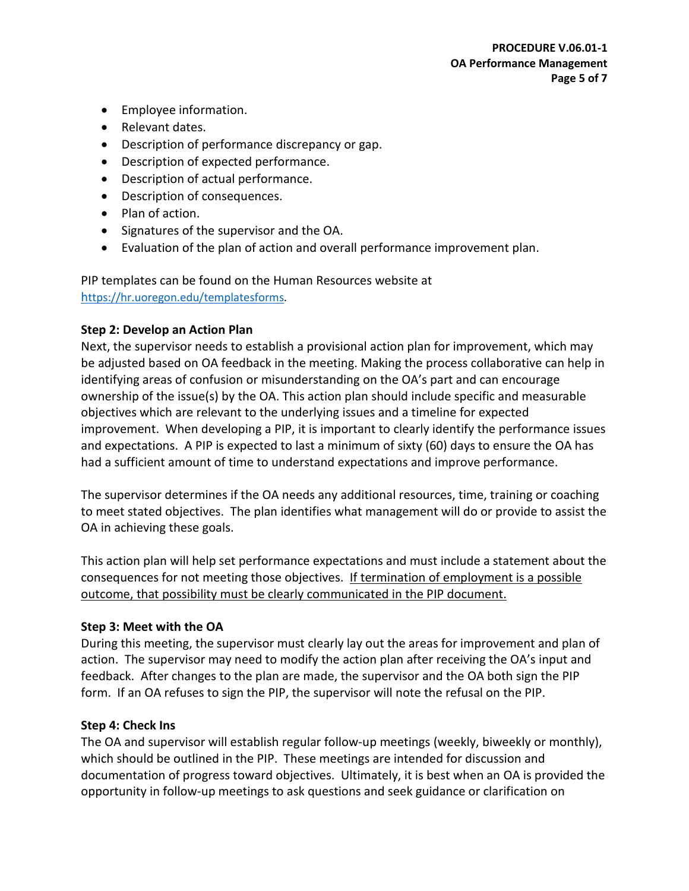- Employee information.
- Relevant dates.
- Description of performance discrepancy or gap.
- Description of expected performance.
- Description of actual performance.
- Description of consequences.
- Plan of action.
- Signatures of the supervisor and the OA.
- Evaluation of the plan of action and overall performance improvement plan.

PIP templates can be found on the Human Resources website at [https://hr.uoregon.edu/templatesforms.](https://hr.uoregon.edu/templatesforms)

#### **Step 2: Develop an Action Plan**

Next, the supervisor needs to establish a provisional action plan for improvement, which may be adjusted based on OA feedback in the meeting. Making the process collaborative can help in identifying areas of confusion or misunderstanding on the OA's part and can encourage ownership of the issue(s) by the OA. This action plan should include specific and measurable objectives which are relevant to the underlying issues and a timeline for expected improvement. When developing a PIP, it is important to clearly identify the performance issues and expectations. A PIP is expected to last a minimum of sixty (60) days to ensure the OA has had a sufficient amount of time to understand expectations and improve performance.

The supervisor determines if the OA needs any additional resources, time, training or coaching to meet stated objectives. The plan identifies what management will do or provide to assist the OA in achieving these goals.

This action plan will help set performance expectations and must include a statement about the consequences for not meeting those objectives. If termination of employment is a possible outcome, that possibility must be clearly communicated in the PIP document.

#### **Step 3: Meet with the OA**

During this meeting, the supervisor must clearly lay out the areas for improvement and plan of action. The supervisor may need to modify the action plan after receiving the OA's input and feedback. After changes to the plan are made, the supervisor and the OA both sign the PIP form. If an OA refuses to sign the PIP, the supervisor will note the refusal on the PIP.

#### **Step 4: Check Ins**

The OA and supervisor will establish regular follow-up meetings (weekly, biweekly or monthly), which should be outlined in the PIP. These meetings are intended for discussion and documentation of progress toward objectives. Ultimately, it is best when an OA is provided the opportunity in follow-up meetings to ask questions and seek guidance or clarification on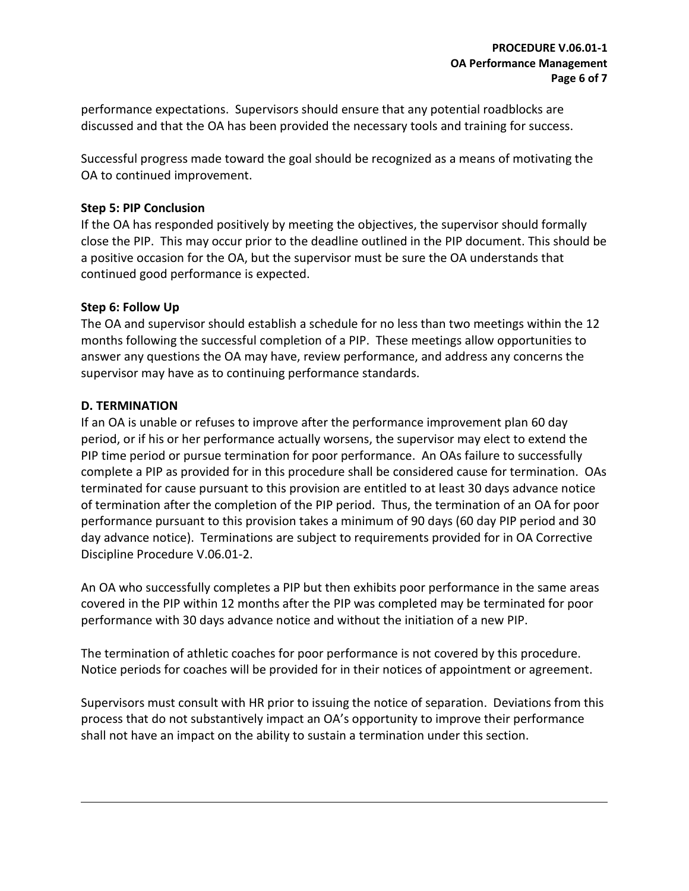performance expectations. Supervisors should ensure that any potential roadblocks are discussed and that the OA has been provided the necessary tools and training for success.

Successful progress made toward the goal should be recognized as a means of motivating the OA to continued improvement.

#### **Step 5: PIP Conclusion**

If the OA has responded positively by meeting the objectives, the supervisor should formally close the PIP. This may occur prior to the deadline outlined in the PIP document. This should be a positive occasion for the OA, but the supervisor must be sure the OA understands that continued good performance is expected.

#### **Step 6: Follow Up**

The OA and supervisor should establish a schedule for no less than two meetings within the 12 months following the successful completion of a PIP. These meetings allow opportunities to answer any questions the OA may have, review performance, and address any concerns the supervisor may have as to continuing performance standards.

#### **D. TERMINATION**

If an OA is unable or refuses to improve after the performance improvement plan 60 day period, or if his or her performance actually worsens, the supervisor may elect to extend the PIP time period or pursue termination for poor performance. An OAs failure to successfully complete a PIP as provided for in this procedure shall be considered cause for termination. OAs terminated for cause pursuant to this provision are entitled to at least 30 days advance notice of termination after the completion of the PIP period. Thus, the termination of an OA for poor performance pursuant to this provision takes a minimum of 90 days (60 day PIP period and 30 day advance notice). Terminations are subject to requirements provided for in OA Corrective Discipline Procedure V.06.01-2.

An OA who successfully completes a PIP but then exhibits poor performance in the same areas covered in the PIP within 12 months after the PIP was completed may be terminated for poor performance with 30 days advance notice and without the initiation of a new PIP.

The termination of athletic coaches for poor performance is not covered by this procedure. Notice periods for coaches will be provided for in their notices of appointment or agreement.

Supervisors must consult with HR prior to issuing the notice of separation. Deviations from this process that do not substantively impact an OA's opportunity to improve their performance shall not have an impact on the ability to sustain a termination under this section.